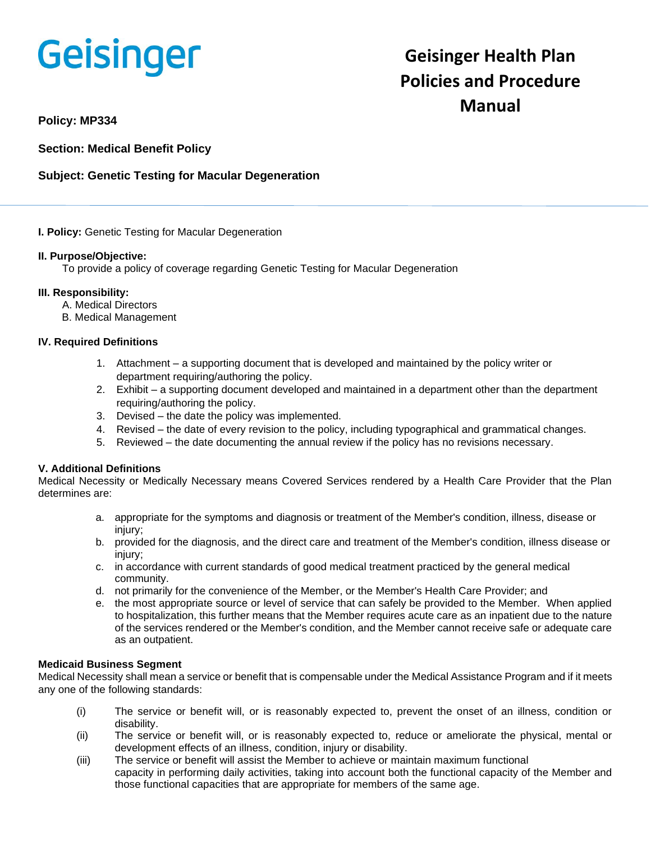# Geisinger

## **Geisinger Health Plan Policies and Procedure Manual**

**Policy: MP334**

**Section: Medical Benefit Policy**

### **Subject: Genetic Testing for Macular Degeneration**

#### **I. Policy:** Genetic Testing for Macular Degeneration

#### **II. Purpose/Objective:**

To provide a policy of coverage regarding Genetic Testing for Macular Degeneration

#### **III. Responsibility:**

- A. Medical Directors
- B. Medical Management

#### **IV. Required Definitions**

- 1. Attachment a supporting document that is developed and maintained by the policy writer or department requiring/authoring the policy.
- 2. Exhibit a supporting document developed and maintained in a department other than the department requiring/authoring the policy.
- 3. Devised the date the policy was implemented.
- 4. Revised the date of every revision to the policy, including typographical and grammatical changes.
- 5. Reviewed the date documenting the annual review if the policy has no revisions necessary.

#### **V. Additional Definitions**

Medical Necessity or Medically Necessary means Covered Services rendered by a Health Care Provider that the Plan determines are:

- a. appropriate for the symptoms and diagnosis or treatment of the Member's condition, illness, disease or injury:
- b. provided for the diagnosis, and the direct care and treatment of the Member's condition, illness disease or injury;
- c. in accordance with current standards of good medical treatment practiced by the general medical community.
- d. not primarily for the convenience of the Member, or the Member's Health Care Provider; and
- e. the most appropriate source or level of service that can safely be provided to the Member. When applied to hospitalization, this further means that the Member requires acute care as an inpatient due to the nature of the services rendered or the Member's condition, and the Member cannot receive safe or adequate care as an outpatient.

#### **Medicaid Business Segment**

Medical Necessity shall mean a service or benefit that is compensable under the Medical Assistance Program and if it meets any one of the following standards:

- (i) The service or benefit will, or is reasonably expected to, prevent the onset of an illness, condition or disability.
- (ii) The service or benefit will, or is reasonably expected to, reduce or ameliorate the physical, mental or development effects of an illness, condition, injury or disability.
- (iii) The service or benefit will assist the Member to achieve or maintain maximum functional capacity in performing daily activities, taking into account both the functional capacity of the Member and those functional capacities that are appropriate for members of the same age.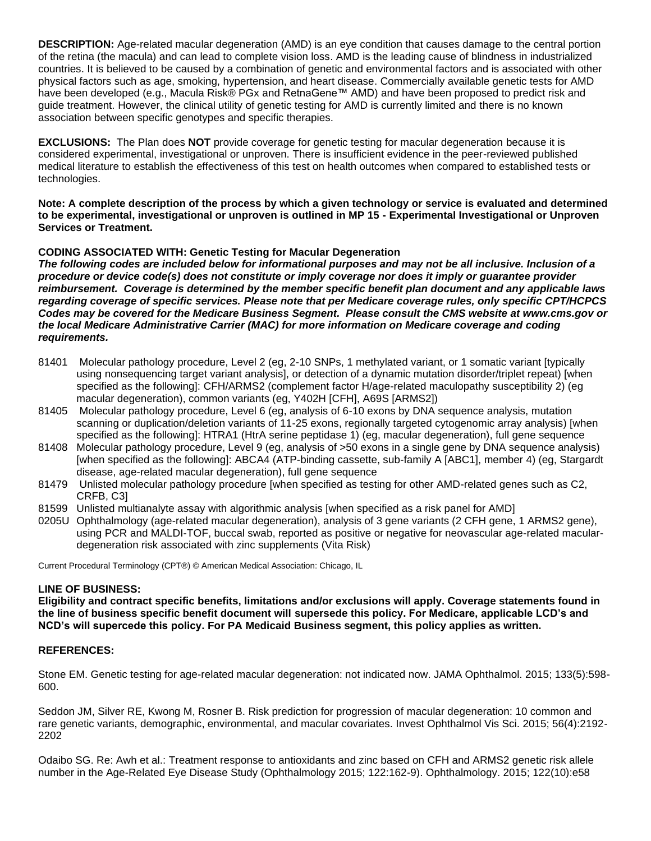**DESCRIPTION:** Age-related macular degeneration (AMD) is an eye condition that causes damage to the central portion of the retina (the macula) and can lead to complete vision loss. AMD is the leading cause of blindness in industrialized countries. It is believed to be caused by a combination of genetic and environmental factors and is associated with other physical factors such as age, smoking, hypertension, and heart disease. Commercially available genetic tests for AMD have been developed (e.g., Macula Risk® PGx and RetnaGene™ AMD) and have been proposed to predict risk and guide treatment. However, the clinical utility of genetic testing for AMD is currently limited and there is no known association between specific genotypes and specific therapies.

**EXCLUSIONS:** The Plan does **NOT** provide coverage for genetic testing for macular degeneration because it is considered experimental, investigational or unproven. There is insufficient evidence in the peer-reviewed published medical literature to establish the effectiveness of this test on health outcomes when compared to established tests or technologies.

**Note: A complete description of the process by which a given technology or service is evaluated and determined to be experimental, investigational or unproven is outlined in MP 15 - Experimental Investigational or Unproven Services or Treatment.**

#### **CODING ASSOCIATED WITH: Genetic Testing for Macular Degeneration**

*The following codes are included below for informational purposes and may not be all inclusive. Inclusion of a procedure or device code(s) does not constitute or imply coverage nor does it imply or guarantee provider reimbursement. Coverage is determined by the member specific benefit plan document and any applicable laws regarding coverage of specific services. Please note that per Medicare coverage rules, only specific CPT/HCPCS Codes may be covered for the Medicare Business Segment. Please consult the CMS website at www.cms.gov or the local Medicare Administrative Carrier (MAC) for more information on Medicare coverage and coding requirements.*

- 81401 Molecular pathology procedure, Level 2 (eg, 2-10 SNPs, 1 methylated variant, or 1 somatic variant [typically using nonsequencing target variant analysis], or detection of a dynamic mutation disorder/triplet repeat) [when specified as the following]: CFH/ARMS2 (complement factor H/age-related maculopathy susceptibility 2) (eg macular degeneration), common variants (eg, Y402H [CFH], A69S [ARMS2])
- 81405 Molecular pathology procedure, Level 6 (eg, analysis of 6-10 exons by DNA sequence analysis, mutation scanning or duplication/deletion variants of 11-25 exons, regionally targeted cytogenomic array analysis) [when specified as the following]: HTRA1 (HtrA serine peptidase 1) (eg, macular degeneration), full gene sequence
- 81408 Molecular pathology procedure, Level 9 (eg, analysis of >50 exons in a single gene by DNA sequence analysis) [when specified as the following]: ABCA4 (ATP-binding cassette, sub-family A [ABC1], member 4) (eg, Stargardt disease, age-related macular degeneration), full gene sequence
- 81479 Unlisted molecular pathology procedure [when specified as testing for other AMD-related genes such as C2, CRFB, C3]
- 81599 Unlisted multianalyte assay with algorithmic analysis [when specified as a risk panel for AMD]
- 0205U Ophthalmology (age-related macular degeneration), analysis of 3 gene variants (2 CFH gene, 1 ARMS2 gene), using PCR and MALDI-TOF, buccal swab, reported as positive or negative for neovascular age-related maculardegeneration risk associated with zinc supplements (Vita Risk)

Current Procedural Terminology (CPT®) © American Medical Association: Chicago, IL

#### **LINE OF BUSINESS:**

**Eligibility and contract specific benefits, limitations and/or exclusions will apply. Coverage statements found in the line of business specific benefit document will supersede this policy. For Medicare, applicable LCD's and NCD's will supercede this policy. For PA Medicaid Business segment, this policy applies as written.**

#### **REFERENCES:**

Stone EM. Genetic testing for age-related macular degeneration: not indicated now. JAMA Ophthalmol. 2015; 133(5):598- 600.

Seddon JM, Silver RE, Kwong M, Rosner B. Risk prediction for progression of macular degeneration: 10 common and rare genetic variants, demographic, environmental, and macular covariates. Invest Ophthalmol Vis Sci. 2015; 56(4):2192- 2202

Odaibo SG. Re: Awh et al.: Treatment response to antioxidants and zinc based on CFH and ARMS2 genetic risk allele number in the Age-Related Eye Disease Study (Ophthalmology 2015; 122:162-9). Ophthalmology. 2015; 122(10):e58